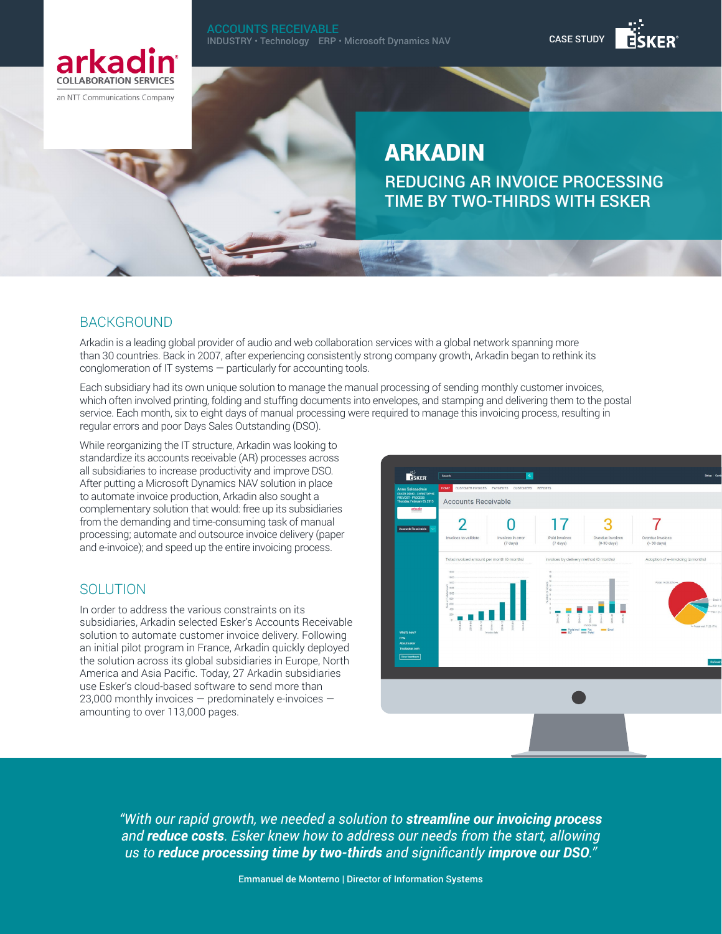

an NTT Communications Company

# ARKADIN

REDUCING AR INVOICE PROCESSING TIME BY TWO-THIRDS WITH ESKER

CASE STUDY

## BACKGROUND

Arkadin is a leading global provider of audio and web collaboration services with a global network spanning more than 30 countries. Back in 2007, after experiencing consistently strong company growth, Arkadin began to rethink its conglomeration of IT systems — particularly for accounting tools.

Each subsidiary had its own unique solution to manage the manual processing of sending monthly customer invoices, which often involved printing, folding and stuffing documents into envelopes, and stamping and delivering them to the postal service. Each month, six to eight days of manual processing were required to manage this invoicing process, resulting in regular errors and poor Days Sales Outstanding (DSO).

While reorganizing the IT structure, Arkadin was looking to standardize its accounts receivable (AR) processes across all subsidiaries to increase productivity and improve DSO. After putting a Microsoft Dynamics NAV solution in place to automate invoice production, Arkadin also sought a complementary solution that would: free up its subsidiaries from the demanding and time-consuming task of manual processing; automate and outsource invoice delivery (paper and e-invoice); and speed up the entire invoicing process.

## SOLUTION

In order to address the various constraints on its subsidiaries, Arkadin selected Esker's Accounts Receivable solution to automate customer invoice delivery. Following an initial pilot program in France, Arkadin quickly deployed the solution across its global subsidiaries in Europe, North America and Asia Pacific. Today, 27 Arkadin subsidiaries use Esker's cloud-based software to send more than 23,000 monthly invoices — predominately e-invoices amounting to over 113,000 pages.



*"With our rapid growth, we needed a solution to streamline our invoicing process and reduce costs. Esker knew how to address our needs from the start, allowing us to reduce processing time by two-thirds and significantly improve our DSO."*